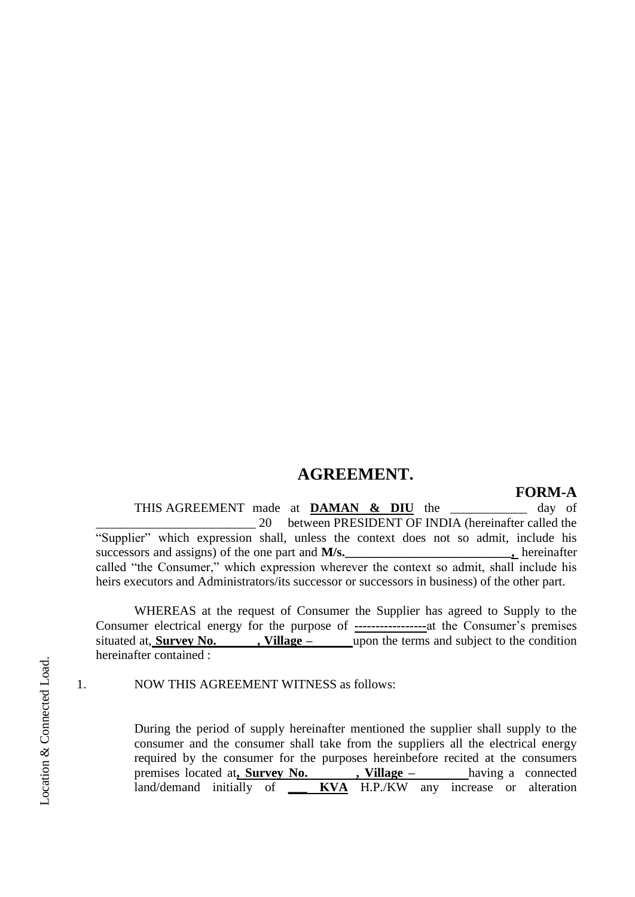## **AGREEMENT.**

## **FORM-A**

THIS AGREEMENT made at **DAMAN & DIU** the \_\_\_\_\_\_\_\_\_\_\_\_ day of \_\_\_\_\_\_\_\_\_\_\_\_\_\_\_\_\_\_\_\_\_\_\_\_\_ 20 between PRESIDENT OF INDIA (hereinafter called the "Supplier" which expression shall, unless the context does not so admit, include his successors and assigns) of the one part and **M/s.\_\_\_\_\_\_\_\_\_\_\_\_\_\_\_\_\_\_\_\_\_\_\_\_\_\_,** hereinafter called "the Consumer," which expression wherever the context so admit, shall include his heirs executors and Administrators/its successor or successors in business) of the other part.

WHEREAS at the request of Consumer the Supplier has agreed to Supply to the Consumer electrical energy for the purpose of **-----------------**at the Consumer's premises situated at, **Survey No.** , **Village** – upon the terms and subject to the condition hereinafter contained :

1. NOW THIS AGREEMENT WITNESS as follows:

During the period of supply hereinafter mentioned the supplier shall supply to the consumer and the consumer shall take from the suppliers all the electrical energy required by the consumer for the purposes hereinbefore recited at the consumers premises located at**, Survey No. , Village –** having a connected land/demand initially of **\_\_\_ KVA** H.P./KW any increase or alteration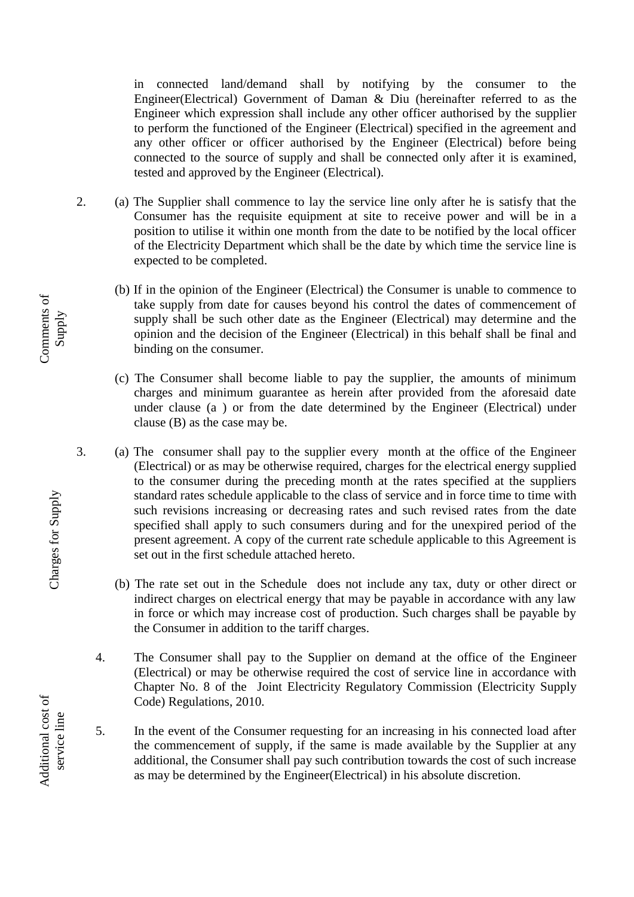in connected land/demand shall by notifying by the consumer to the Engineer(Electrical) Government of Daman & Diu (hereinafter referred to as the Engineer which expression shall include any other officer authorised by the supplier to perform the functioned of the Engineer (Electrical) specified in the agreement and any other officer or officer authorised by the Engineer (Electrical) before being connected to the source of supply and shall be connected only after it is examined, tested and approved by the Engineer (Electrical).

- 2. (a) The Supplier shall commence to lay the service line only after he is satisfy that the Consumer has the requisite equipment at site to receive power and will be in a position to utilise it within one month from the date to be notified by the local officer of the Electricity Department which shall be the date by which time the service line is expected to be completed.
	- (b) If in the opinion of the Engineer (Electrical) the Consumer is unable to commence to take supply from date for causes beyond his control the dates of commencement of supply shall be such other date as the Engineer (Electrical) may determine and the opinion and the decision of the Engineer (Electrical) in this behalf shall be final and binding on the consumer.
	- (c) The Consumer shall become liable to pay the supplier, the amounts of minimum charges and minimum guarantee as herein after provided from the aforesaid date under clause (a ) or from the date determined by the Engineer (Electrical) under clause (B) as the case may be.
- 3. (a) The consumer shall pay to the supplier every month at the office of the Engineer (Electrical) or as may be otherwise required, charges for the electrical energy supplied to the consumer during the preceding month at the rates specified at the suppliers standard rates schedule applicable to the class of service and in force time to time with such revisions increasing or decreasing rates and such revised rates from the date specified shall apply to such consumers during and for the unexpired period of the present agreement. A copy of the current rate schedule applicable to this Agreement is set out in the first schedule attached hereto.
	- (b) The rate set out in the Schedule does not include any tax, duty or other direct or indirect charges on electrical energy that may be payable in accordance with any law in force or which may increase cost of production. Such charges shall be payable by the Consumer in addition to the tariff charges.
	- 4. The Consumer shall pay to the Supplier on demand at the office of the Engineer (Electrical) or may be otherwise required the cost of service line in accordance with Chapter No. 8 of the Joint Electricity Regulatory Commission (Electricity Supply Code) Regulations, 2010.
	- 5. In the event of the Consumer requesting for an increasing in his connected load after the commencement of supply, if the same is made available by the Supplier at any additional, the Consumer shall pay such contribution towards the cost of such increase as may be determined by the Engineer(Electrical) in his absolute discretion.

Comments of Comments of Supply

> Charges for Supply Charges for Supply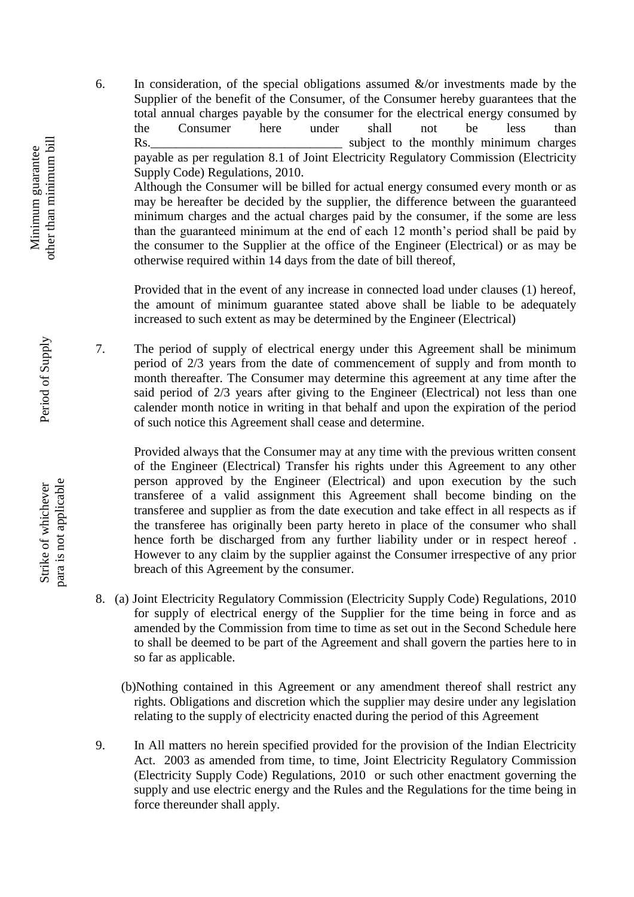6. In consideration, of the special obligations assumed  $\&$ /or investments made by the Supplier of the benefit of the Consumer, of the Consumer hereby guarantees that the total annual charges payable by the consumer for the electrical energy consumed by the Consumer here under shall not be less than Rs. Subject to the monthly minimum charges payable as per regulation 8.1 of Joint Electricity Regulatory Commission (Electricity Supply Code) Regulations, 2010.

Although the Consumer will be billed for actual energy consumed every month or as may be hereafter be decided by the supplier, the difference between the guaranteed minimum charges and the actual charges paid by the consumer, if the some are less than the guaranteed minimum at the end of each 12 month's period shall be paid by the consumer to the Supplier at the office of the Engineer (Electrical) or as may be otherwise required within 14 days from the date of bill thereof,

Provided that in the event of any increase in connected load under clauses (1) hereof, the amount of minimum guarantee stated above shall be liable to be adequately increased to such extent as may be determined by the Engineer (Electrical)

7. The period of supply of electrical energy under this Agreement shall be minimum period of 2/3 years from the date of commencement of supply and from month to month thereafter. The Consumer may determine this agreement at any time after the said period of 2/3 years after giving to the Engineer (Electrical) not less than one calender month notice in writing in that behalf and upon the expiration of the period of such notice this Agreement shall cease and determine.

Provided always that the Consumer may at any time with the previous written consent of the Engineer (Electrical) Transfer his rights under this Agreement to any other person approved by the Engineer (Electrical) and upon execution by the such transferee of a valid assignment this Agreement shall become binding on the transferee and supplier as from the date execution and take effect in all respects as if the transferee has originally been party hereto in place of the consumer who shall hence forth be discharged from any further liability under or in respect hereof . However to any claim by the supplier against the Consumer irrespective of any prior breach of this Agreement by the consumer.

- 8. (a) Joint Electricity Regulatory Commission (Electricity Supply Code) Regulations, 2010 for supply of electrical energy of the Supplier for the time being in force and as amended by the Commission from time to time as set out in the Second Schedule here to shall be deemed to be part of the Agreement and shall govern the parties here to in so far as applicable.
	- (b)Nothing contained in this Agreement or any amendment thereof shall restrict any rights. Obligations and discretion which the supplier may desire under any legislation relating to the supply of electricity enacted during the period of this Agreement
- 9. In All matters no herein specified provided for the provision of the Indian Electricity Act. 2003 as amended from time, to time, Joint Electricity Regulatory Commission (Electricity Supply Code) Regulations, 2010 or such other enactment governing the supply and use electric energy and the Rules and the Regulations for the time being in force thereunder shall apply.

Period of Supply Period of Supply